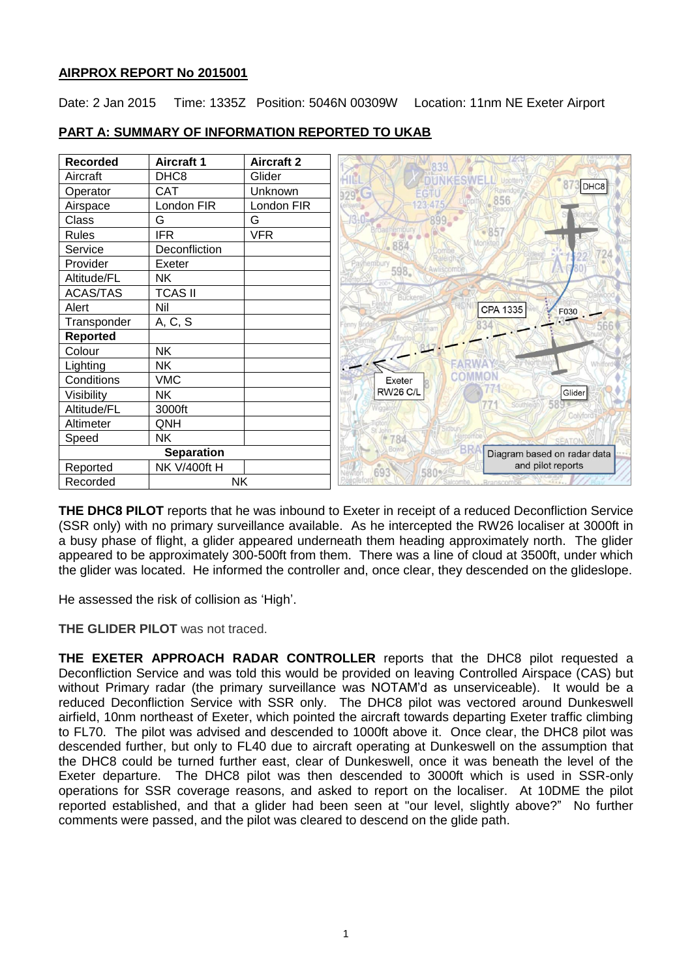## **AIRPROX REPORT No 2015001**

Date: 2 Jan 2015 Time: 1335Z Position: 5046N 00309W Location: 11nm NE Exeter Airport

| <b>Recorded</b>   | <b>Aircraft 1</b>   | <b>Aircraft 2</b> |
|-------------------|---------------------|-------------------|
| Aircraft          | DHC <sub>8</sub>    | Glider            |
| Operator          | CAT                 | Unknown           |
| Airspace          | London FIR          | London FIR        |
| Class             | G                   | G                 |
| <b>Rules</b>      | <b>IFR</b>          | <b>VFR</b>        |
| Service           | Deconfliction       |                   |
| Provider          | Exeter              |                   |
| Altitude/FL       | <b>NK</b>           |                   |
| <b>ACAS/TAS</b>   | <b>TCAS II</b>      |                   |
| Alert             | Nil                 |                   |
| Transponder       | A, C, S             |                   |
| <b>Reported</b>   |                     |                   |
| Colour            | <b>NK</b>           |                   |
| Lighting          | <b>NK</b>           |                   |
| Conditions        | <b>VMC</b>          |                   |
| Visibility        | <b>NK</b>           |                   |
| Altitude/FL       | 3000ft              |                   |
| Altimeter         | QNH                 |                   |
| Speed             | <b>NK</b>           |                   |
| <b>Separation</b> |                     |                   |
| Reported          | <b>NK V/400ft H</b> |                   |
| Recorded          |                     | NK                |

#### **PART A: SUMMARY OF INFORMATION REPORTED TO UKAB**

**THE DHC8 PILOT** reports that he was inbound to Exeter in receipt of a reduced Deconfliction Service (SSR only) with no primary surveillance available. As he intercepted the RW26 localiser at 3000ft in a busy phase of flight, a glider appeared underneath them heading approximately north. The glider appeared to be approximately 300-500ft from them. There was a line of cloud at 3500ft, under which the glider was located. He informed the controller and, once clear, they descended on the glideslope.

He assessed the risk of collision as 'High'.

**THE GLIDER PILOT** was not traced.

**THE EXETER APPROACH RADAR CONTROLLER** reports that the DHC8 pilot requested a Deconfliction Service and was told this would be provided on leaving Controlled Airspace (CAS) but without Primary radar (the primary surveillance was NOTAM'd as unserviceable). It would be a reduced Deconfliction Service with SSR only. The DHC8 pilot was vectored around Dunkeswell airfield, 10nm northeast of Exeter, which pointed the aircraft towards departing Exeter traffic climbing to FL70. The pilot was advised and descended to 1000ft above it. Once clear, the DHC8 pilot was descended further, but only to FL40 due to aircraft operating at Dunkeswell on the assumption that the DHC8 could be turned further east, clear of Dunkeswell, once it was beneath the level of the Exeter departure. The DHC8 pilot was then descended to 3000ft which is used in SSR-only operations for SSR coverage reasons, and asked to report on the localiser. At 10DME the pilot reported established, and that a glider had been seen at "our level, slightly above?" No further comments were passed, and the pilot was cleared to descend on the glide path.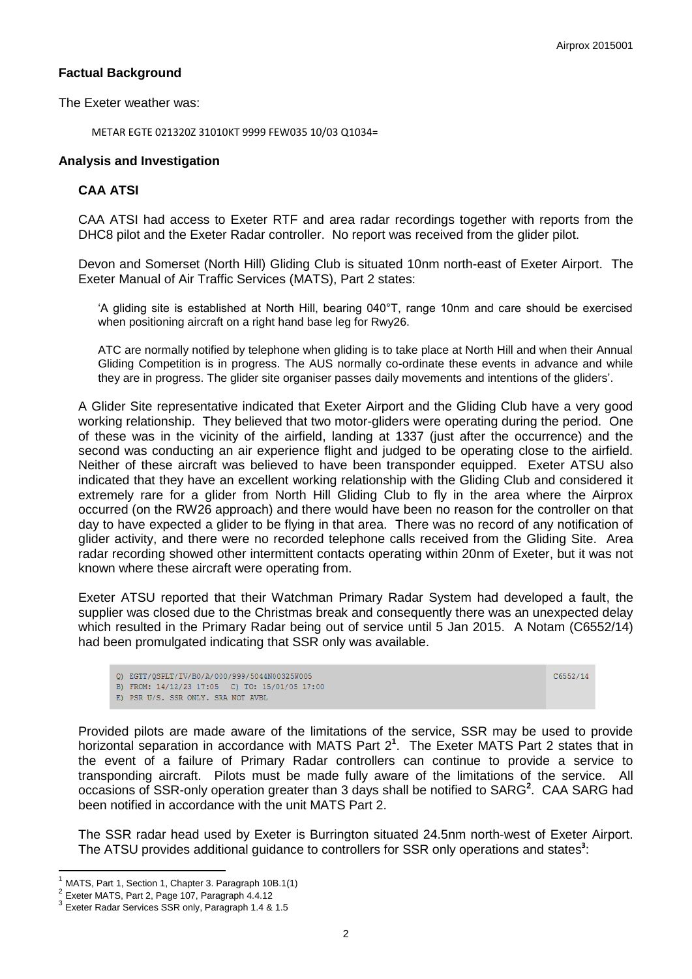#### **Factual Background**

The Exeter weather was:

METAR EGTE 021320Z 31010KT 9999 FEW035 10/03 Q1034=

#### **Analysis and Investigation**

# **CAA ATSI**

CAA ATSI had access to Exeter RTF and area radar recordings together with reports from the DHC8 pilot and the Exeter Radar controller. No report was received from the glider pilot.

Devon and Somerset (North Hill) Gliding Club is situated 10nm north-east of Exeter Airport. The Exeter Manual of Air Traffic Services (MATS), Part 2 states:

'A gliding site is established at North Hill, bearing 040°T, range 10nm and care should be exercised when positioning aircraft on a right hand base leg for Rwy26.

ATC are normally notified by telephone when gliding is to take place at North Hill and when their Annual Gliding Competition is in progress. The AUS normally co-ordinate these events in advance and while they are in progress. The glider site organiser passes daily movements and intentions of the gliders'.

A Glider Site representative indicated that Exeter Airport and the Gliding Club have a very good working relationship. They believed that two motor-gliders were operating during the period. One of these was in the vicinity of the airfield, landing at 1337 (just after the occurrence) and the second was conducting an air experience flight and judged to be operating close to the airfield. Neither of these aircraft was believed to have been transponder equipped. Exeter ATSU also indicated that they have an excellent working relationship with the Gliding Club and considered it extremely rare for a glider from North Hill Gliding Club to fly in the area where the Airprox occurred (on the RW26 approach) and there would have been no reason for the controller on that day to have expected a glider to be flying in that area. There was no record of any notification of glider activity, and there were no recorded telephone calls received from the Gliding Site. Area radar recording showed other intermittent contacts operating within 20nm of Exeter, but it was not known where these aircraft were operating from.

Exeter ATSU reported that their Watchman Primary Radar System had developed a fault, the supplier was closed due to the Christmas break and consequently there was an unexpected delay which resulted in the Primary Radar being out of service until 5 Jan 2015. A Notam (C6552/14) had been promulgated indicating that SSR only was available.

Q) EGTT/QSPLT/IV/BO/A/000/999/5044N00325W005

C6552/14

B) FROM: 14/12/23 17:05 C) TO: 15/01/05 17:00 E) PSR U/S. SSR ONLY. SRA NOT AVBL

Provided pilots are made aware of the limitations of the service, SSR may be used to provide horizontal separation in accordance with MATS Part 2**<sup>1</sup>** . The Exeter MATS Part 2 states that in the event of a failure of Primary Radar controllers can continue to provide a service to transponding aircraft. Pilots must be made fully aware of the limitations of the service. All occasions of SSR-only operation greater than 3 days shall be notified to SARG<sup>2</sup>. CAA SARG had been notified in accordance with the unit MATS Part 2.

The SSR radar head used by Exeter is Burrington situated 24.5nm north-west of Exeter Airport. The ATSU provides additional guidance to controllers for SSR only operations and states<sup>3</sup>:

j

MATS, Part 1, Section 1, Chapter 3. Paragraph 10B.1(1)

<sup>2</sup> Exeter MATS, Part 2, Page 107, Paragraph 4.4.12

<sup>3</sup> Exeter Radar Services SSR only, Paragraph 1.4 & 1.5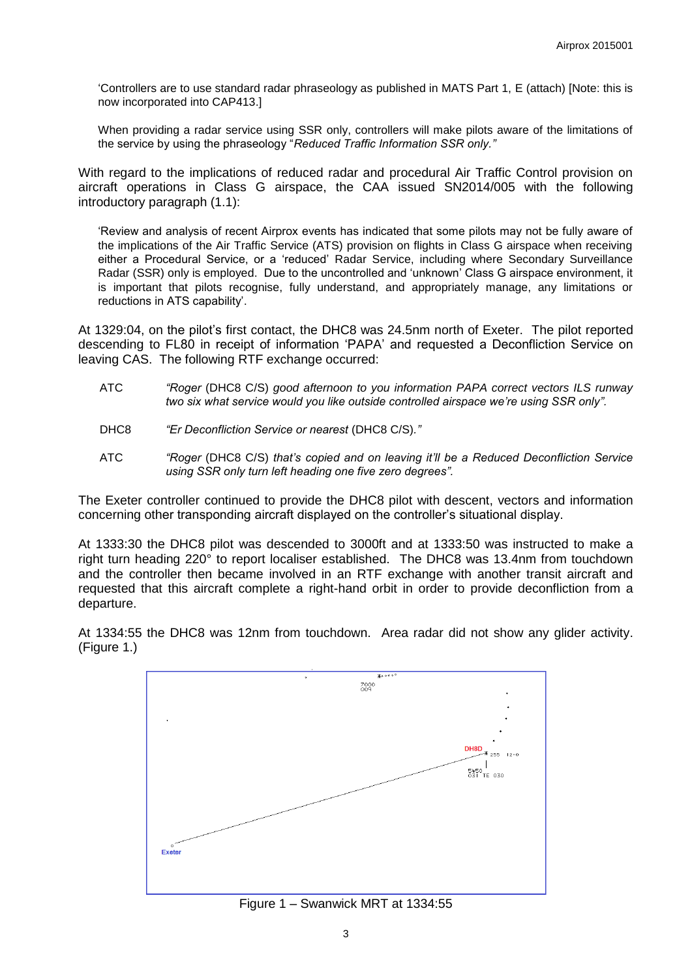'Controllers are to use standard radar phraseology as published in MATS Part 1, E (attach) [Note: this is now incorporated into CAP413.]

When providing a radar service using SSR only, controllers will make pilots aware of the limitations of the service by using the phraseology "*Reduced Traffic Information SSR only."*

With regard to the implications of reduced radar and procedural Air Traffic Control provision on aircraft operations in Class G airspace, the CAA issued SN2014/005 with the following introductory paragraph (1.1):

'Review and analysis of recent Airprox events has indicated that some pilots may not be fully aware of the implications of the Air Traffic Service (ATS) provision on flights in Class G airspace when receiving either a Procedural Service, or a 'reduced' Radar Service, including where Secondary Surveillance Radar (SSR) only is employed. Due to the uncontrolled and 'unknown' Class G airspace environment, it is important that pilots recognise, fully understand, and appropriately manage, any limitations or reductions in ATS capability'.

At 1329:04, on the pilot's first contact, the DHC8 was 24.5nm north of Exeter. The pilot reported descending to FL80 in receipt of information 'PAPA' and requested a Deconfliction Service on leaving CAS. The following RTF exchange occurred:

- ATC *"Roger* (DHC8 C/S) *good afternoon to you information PAPA correct vectors ILS runway two six what service would you like outside controlled airspace we're using SSR only".*
- DHC8 *"Er Deconfliction Service or nearest* (DHC8 C/S)*."*
- ATC *"Roger* (DHC8 C/S) *that's copied and on leaving it'll be a Reduced Deconfliction Service using SSR only turn left heading one five zero degrees".*

The Exeter controller continued to provide the DHC8 pilot with descent, vectors and information concerning other transponding aircraft displayed on the controller's situational display.

At 1333:30 the DHC8 pilot was descended to 3000ft and at 1333:50 was instructed to make a right turn heading 220° to report localiser established. The DHC8 was 13.4nm from touchdown and the controller then became involved in an RTF exchange with another transit aircraft and requested that this aircraft complete a right-hand orbit in order to provide deconfliction from a departure.



At 1334:55 the DHC8 was 12nm from touchdown. Area radar did not show any glider activity. (Figure 1.)

Figure 1 – Swanwick MRT at 1334:55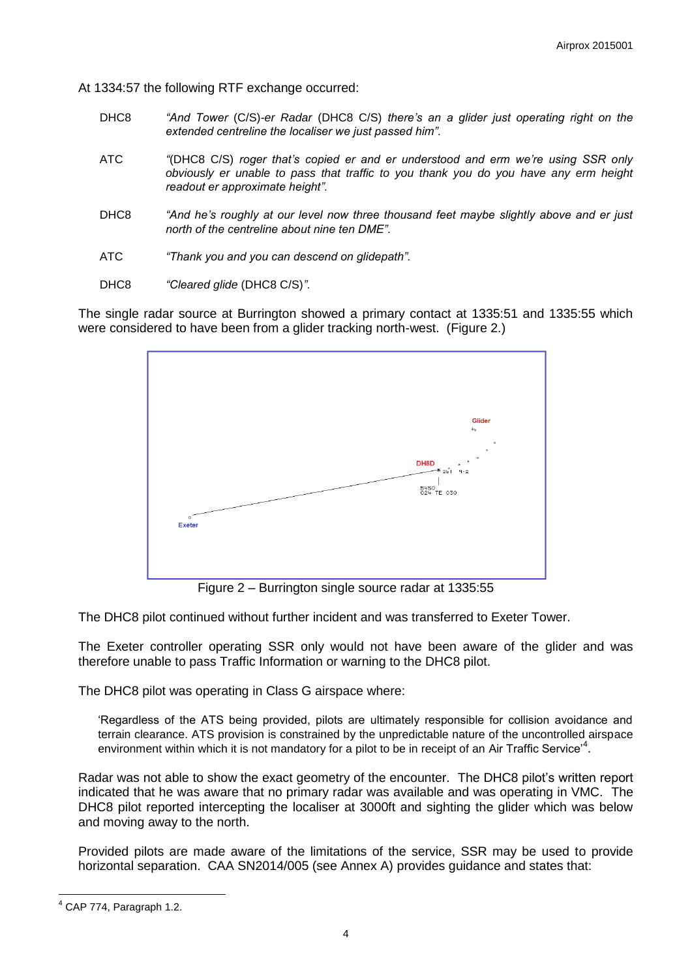At 1334:57 the following RTF exchange occurred:

- DHC8 *"And Tower* (C/S)*-er Radar* (DHC8 C/S) *there's an a glider just operating right on the extended centreline the localiser we just passed him".*
- ATC *"*(DHC8 C/S) *roger that's copied er and er understood and erm we're using SSR only obviously er unable to pass that traffic to you thank you do you have any erm height readout er approximate height".*
- DHC8 *"And he's roughly at our level now three thousand feet maybe slightly above and er just north of the centreline about nine ten DME".*
- ATC *"Thank you and you can descend on glidepath".*
- DHC8 *"Cleared glide* (DHC8 C/S)*".*

The single radar source at Burrington showed a primary contact at 1335:51 and 1335:55 which were considered to have been from a glider tracking north-west. (Figure 2.)



Figure 2 – Burrington single source radar at 1335:55

The DHC8 pilot continued without further incident and was transferred to Exeter Tower.

The Exeter controller operating SSR only would not have been aware of the glider and was therefore unable to pass Traffic Information or warning to the DHC8 pilot.

The DHC8 pilot was operating in Class G airspace where:

'Regardless of the ATS being provided, pilots are ultimately responsible for collision avoidance and terrain clearance. ATS provision is constrained by the unpredictable nature of the uncontrolled airspace environment within which it is not mandatory for a pilot to be in receipt of an Air Traffic Service<sup>4</sup>.

Radar was not able to show the exact geometry of the encounter. The DHC8 pilot's written report indicated that he was aware that no primary radar was available and was operating in VMC. The DHC8 pilot reported intercepting the localiser at 3000ft and sighting the glider which was below and moving away to the north.

Provided pilots are made aware of the limitations of the service, SSR may be used to provide horizontal separation. CAA SN2014/005 (see Annex A) provides guidance and states that:

l <sup>4</sup> CAP 774, Paragraph 1.2.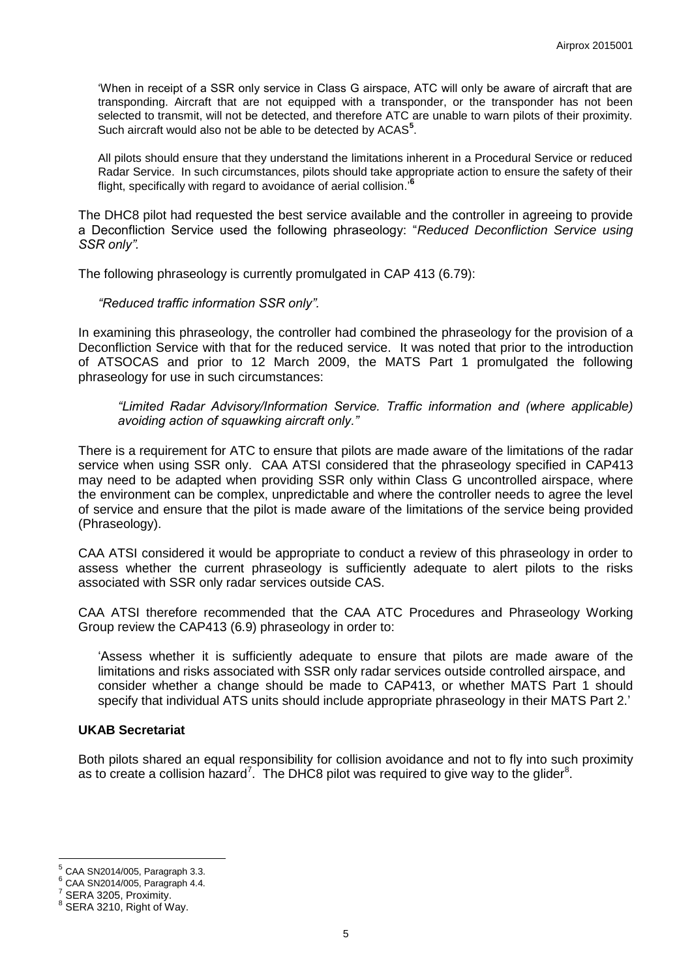'When in receipt of a SSR only service in Class G airspace, ATC will only be aware of aircraft that are transponding. Aircraft that are not equipped with a transponder, or the transponder has not been selected to transmit, will not be detected, and therefore ATC are unable to warn pilots of their proximity. Such aircraft would also not be able to be detected by ACAS**<sup>5</sup>** .

All pilots should ensure that they understand the limitations inherent in a Procedural Service or reduced Radar Service. In such circumstances, pilots should take appropriate action to ensure the safety of their flight, specifically with regard to avoidance of aerial collision.'**<sup>6</sup>**

The DHC8 pilot had requested the best service available and the controller in agreeing to provide a Deconfliction Service used the following phraseology: "*Reduced Deconfliction Service using SSR only".*

The following phraseology is currently promulgated in CAP 413 (6.79):

#### *"Reduced traffic information SSR only".*

In examining this phraseology, the controller had combined the phraseology for the provision of a Deconfliction Service with that for the reduced service. It was noted that prior to the introduction of ATSOCAS and prior to 12 March 2009, the MATS Part 1 promulgated the following phraseology for use in such circumstances:

*"Limited Radar Advisory/Information Service. Traffic information and (where applicable) avoiding action of squawking aircraft only."*

There is a requirement for ATC to ensure that pilots are made aware of the limitations of the radar service when using SSR only. CAA ATSI considered that the phraseology specified in CAP413 may need to be adapted when providing SSR only within Class G uncontrolled airspace, where the environment can be complex, unpredictable and where the controller needs to agree the level of service and ensure that the pilot is made aware of the limitations of the service being provided (Phraseology).

CAA ATSI considered it would be appropriate to conduct a review of this phraseology in order to assess whether the current phraseology is sufficiently adequate to alert pilots to the risks associated with SSR only radar services outside CAS.

CAA ATSI therefore recommended that the CAA ATC Procedures and Phraseology Working Group review the CAP413 (6.9) phraseology in order to:

'Assess whether it is sufficiently adequate to ensure that pilots are made aware of the limitations and risks associated with SSR only radar services outside controlled airspace, and consider whether a change should be made to CAP413, or whether MATS Part 1 should specify that individual ATS units should include appropriate phraseology in their MATS Part 2.'

#### **UKAB Secretariat**

Both pilots shared an equal responsibility for collision avoidance and not to fly into such proximity as to create a collision hazard<sup>7</sup>. The DHC8 pilot was required to give way to the glider<sup>8</sup>.

<sup>&</sup>lt;sup>5</sup> CAA SN2014/005, Paragraph 3.3.<br><sup>6</sup> CAA SN2014/005, Paragraph 4.4.

CAA SN2014/005, Paragraph 4.4.

<sup>7</sup> SERA 3205, Proximity.

<sup>&</sup>lt;sup>8</sup> SERA 3210, Right of Way.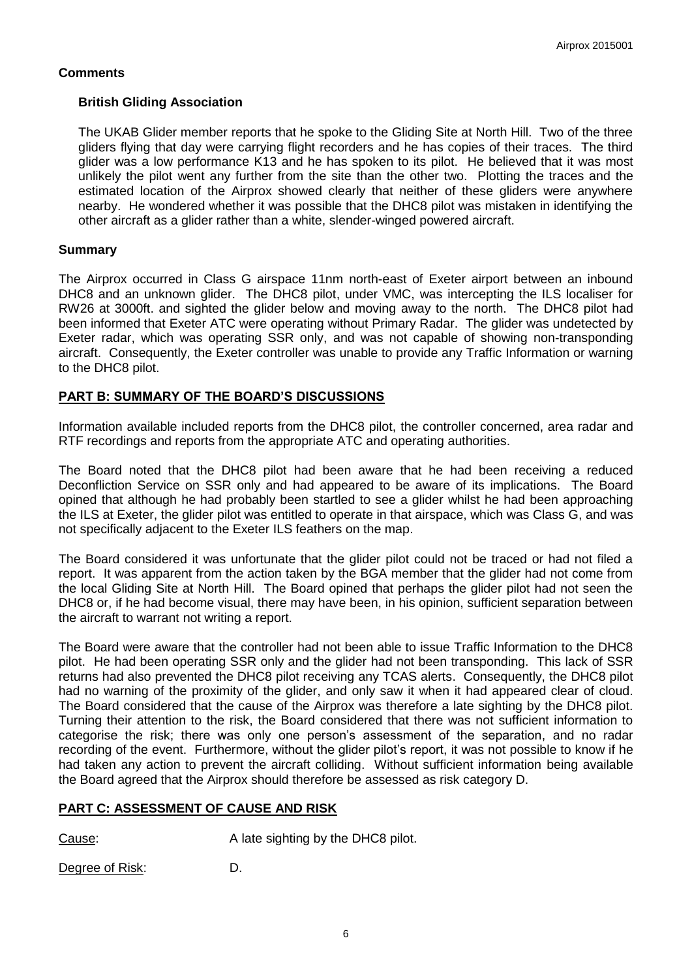# **Comments**

## **British Gliding Association**

The UKAB Glider member reports that he spoke to the Gliding Site at North Hill. Two of the three gliders flying that day were carrying flight recorders and he has copies of their traces. The third glider was a low performance K13 and he has spoken to its pilot. He believed that it was most unlikely the pilot went any further from the site than the other two. Plotting the traces and the estimated location of the Airprox showed clearly that neither of these gliders were anywhere nearby. He wondered whether it was possible that the DHC8 pilot was mistaken in identifying the other aircraft as a glider rather than a white, slender-winged powered aircraft.

## **Summary**

The Airprox occurred in Class G airspace 11nm north-east of Exeter airport between an inbound DHC8 and an unknown glider. The DHC8 pilot, under VMC, was intercepting the ILS localiser for RW26 at 3000ft. and sighted the glider below and moving away to the north. The DHC8 pilot had been informed that Exeter ATC were operating without Primary Radar. The glider was undetected by Exeter radar, which was operating SSR only, and was not capable of showing non-transponding aircraft. Consequently, the Exeter controller was unable to provide any Traffic Information or warning to the DHC8 pilot.

## **PART B: SUMMARY OF THE BOARD'S DISCUSSIONS**

Information available included reports from the DHC8 pilot, the controller concerned, area radar and RTF recordings and reports from the appropriate ATC and operating authorities.

The Board noted that the DHC8 pilot had been aware that he had been receiving a reduced Deconfliction Service on SSR only and had appeared to be aware of its implications. The Board opined that although he had probably been startled to see a glider whilst he had been approaching the ILS at Exeter, the glider pilot was entitled to operate in that airspace, which was Class G, and was not specifically adjacent to the Exeter ILS feathers on the map.

The Board considered it was unfortunate that the glider pilot could not be traced or had not filed a report. It was apparent from the action taken by the BGA member that the glider had not come from the local Gliding Site at North Hill. The Board opined that perhaps the glider pilot had not seen the DHC8 or, if he had become visual, there may have been, in his opinion, sufficient separation between the aircraft to warrant not writing a report.

The Board were aware that the controller had not been able to issue Traffic Information to the DHC8 pilot. He had been operating SSR only and the glider had not been transponding. This lack of SSR returns had also prevented the DHC8 pilot receiving any TCAS alerts. Consequently, the DHC8 pilot had no warning of the proximity of the glider, and only saw it when it had appeared clear of cloud. The Board considered that the cause of the Airprox was therefore a late sighting by the DHC8 pilot. Turning their attention to the risk, the Board considered that there was not sufficient information to categorise the risk; there was only one person's assessment of the separation, and no radar recording of the event. Furthermore, without the glider pilot's report, it was not possible to know if he had taken any action to prevent the aircraft colliding. Without sufficient information being available the Board agreed that the Airprox should therefore be assessed as risk category D.

## **PART C: ASSESSMENT OF CAUSE AND RISK**

Cause: Cause: A late sighting by the DHC8 pilot.

Degree of Risk: D.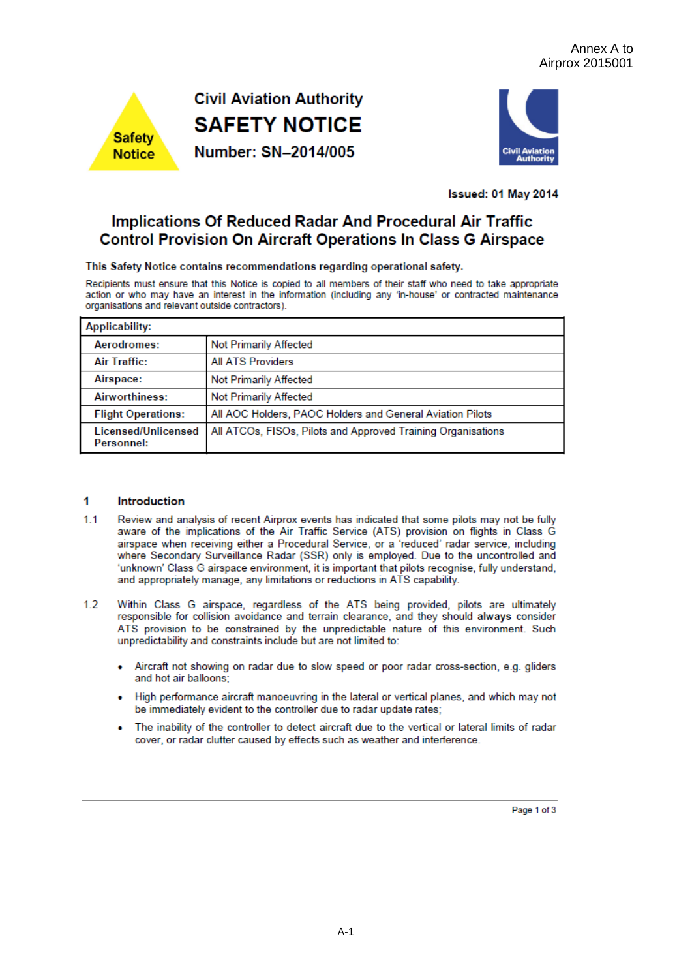



**Issued: 01 May 2014** 

# **Implications Of Reduced Radar And Procedural Air Traffic Control Provision On Aircraft Operations In Class G Airspace**

This Safety Notice contains recommendations regarding operational safety.

Recipients must ensure that this Notice is copied to all members of their staff who need to take appropriate action or who may have an interest in the information (including any 'in-house' or contracted maintenance organisations and relevant outside contractors).

| <b>Applicability:</b>             |                                                              |  |  |  |
|-----------------------------------|--------------------------------------------------------------|--|--|--|
| Aerodromes:                       | <b>Not Primarily Affected</b>                                |  |  |  |
| Air Traffic:                      | <b>All ATS Providers</b>                                     |  |  |  |
| Airspace:                         | Not Primarily Affected                                       |  |  |  |
| <b>Airworthiness:</b>             | Not Primarily Affected                                       |  |  |  |
| <b>Flight Operations:</b>         | All AOC Holders, PAOC Holders and General Aviation Pilots    |  |  |  |
| Licensed/Unlicensed<br>Personnel: | All ATCOs, FISOs, Pilots and Approved Training Organisations |  |  |  |

#### 1 **Introduction**

- $11$ Review and analysis of recent Airprox events has indicated that some pilots may not be fully aware of the implications of the Air Traffic Service (ATS) provision on flights in Class G airspace when receiving either a Procedural Service, or a 'reduced' radar service, including where Secondary Surveillance Radar (SSR) only is employed. Due to the uncontrolled and 'unknown' Class G airspace environment, it is important that pilots recognise, fully understand, and appropriately manage, any limitations or reductions in ATS capability.
- $1.2$ Within Class G airspace, regardless of the ATS being provided, pilots are ultimately responsible for collision avoidance and terrain clearance, and they should always consider ATS provision to be constrained by the unpredictable nature of this environment. Such unpredictability and constraints include but are not limited to:
	- Aircraft not showing on radar due to slow speed or poor radar cross-section, e.g. gliders and hot air balloons;
	- High performance aircraft manoeuvring in the lateral or vertical planes, and which may not be immediately evident to the controller due to radar update rates;
	- The inability of the controller to detect aircraft due to the vertical or lateral limits of radar cover, or radar clutter caused by effects such as weather and interference.

Page 1 of 3